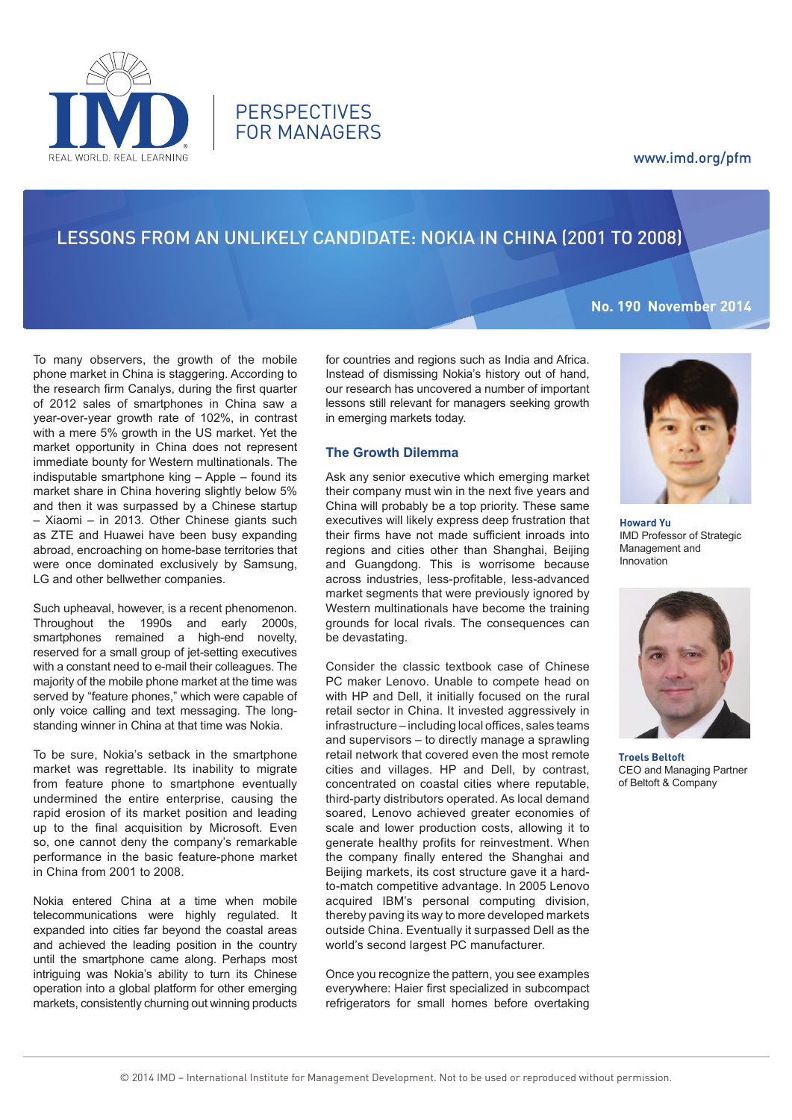# www.imd.org/pfm



**PERSPECTIVES** FOR MANAGERS

# Lessons from an Unlikely candidate: Nokia in China (2001 to 2008)

# **No. 190 November 2014**

To many observers, the growth of the mobile phone market in China is staggering. According to the research firm Canalys, during the first quarter of 2012 sales of smartphones in China saw a year-over-year growth rate of 102%, in contrast with a mere 5% growth in the US market. Yet the market opportunity in China does not represent immediate bounty for Western multinationals. The indisputable smartphone king – Apple – found its market share in China hovering slightly below 5% and then it was surpassed by a Chinese startup – Xiaomi – in 2013. Other Chinese giants such as ZTE and Huawei have been busy expanding abroad, encroaching on home-base territories that were once dominated exclusively by Samsung, LG and other bellwether companies.

Such upheaval, however, is a recent phenomenon. Throughout the 1990s and early 2000s, smartphones remained a high-end novelty, reserved for a small group of jet-setting executives with a constant need to e-mail their colleagues. The majority of the mobile phone market at the time was served by "feature phones," which were capable of only voice calling and text messaging. The longstanding winner in China at that time was Nokia.

To be sure, Nokia's setback in the smartphone market was regrettable. Its inability to migrate from feature phone to smartphone eventually undermined the entire enterprise, causing the rapid erosion of its market position and leading up to the final acquisition by Microsoft. Even so, one cannot deny the company's remarkable performance in the basic feature-phone market in China from 2001 to 2008.

Nokia entered China at a time when mobile telecommunications were highly regulated. It expanded into cities far beyond the coastal areas and achieved the leading position in the country until the smartphone came along. Perhaps most intriguing was Nokia's ability to turn its Chinese operation into a global platform for other emerging markets, consistently churning out winning products

for countries and regions such as India and Africa. Instead of dismissing Nokia's history out of hand, our research has uncovered a number of important lessons still relevant for managers seeking growth in emerging markets today.

## **The Growth Dilemma**

Ask any senior executive which emerging market their company must win in the next five years and China will probably be a top priority. These same executives will likely express deep frustration that their firms have not made sufficient inroads into regions and cities other than Shanghai, Beijing and Guangdong. This is worrisome because across industries, less-profitable, less-advanced market segments that were previously ignored by Western multinationals have become the training grounds for local rivals. The consequences can be devastating.

Consider the classic textbook case of Chinese PC maker Lenovo. Unable to compete head on with HP and Dell, it initially focused on the rural retail sector in China. It invested aggressively in infrastructure – including local offices, sales teams and supervisors – to directly manage a sprawling retail network that covered even the most remote cities and villages. HP and Dell, by contrast, concentrated on coastal cities where reputable, third-party distributors operated. As local demand soared, Lenovo achieved greater economies of scale and lower production costs, allowing it to generate healthy profits for reinvestment. When the company finally entered the Shanghai and Beijing markets, its cost structure gave it a hardto-match competitive advantage. In 2005 Lenovo acquired IBM's personal computing division, thereby paving its way to more developed markets outside China. Eventually it surpassed Dell as the world's second largest PC manufacturer.

Once you recognize the pattern, you see examples everywhere: Haier first specialized in subcompact refrigerators for small homes before overtaking



**Howard Yu** IMD Professor of Strategic Management and Innovation



**Troels Beltoft** CEO and Managing Partner of Beltoft & Company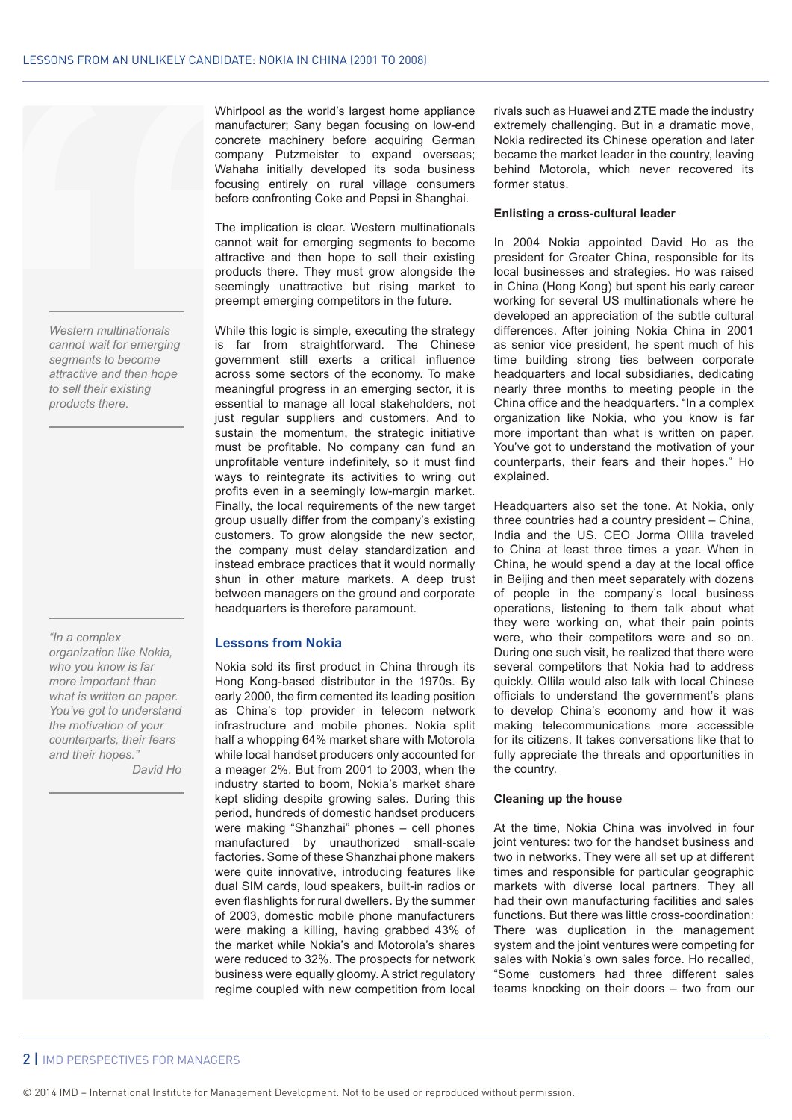

*Western multinationals cannot wait for emerging segments to become attractive and then hope to sell their existing products there.*

*"In a complex organization like Nokia, who you know is far more important than what is written on paper. You've got to understand the motivation of your counterparts, their fears and their hopes."* 

 *David Ho*

Whirlpool as the world's largest home appliance manufacturer; Sany began focusing on low-end concrete machinery before acquiring German company Putzmeister to expand overseas; Wahaha initially developed its soda business focusing entirely on rural village consumers before confronting Coke and Pepsi in Shanghai.

The implication is clear. Western multinationals cannot wait for emerging segments to become attractive and then hope to sell their existing products there. They must grow alongside the seemingly unattractive but rising market to preempt emerging competitors in the future.

While this logic is simple, executing the strategy is far from straightforward. The Chinese government still exerts a critical influence across some sectors of the economy. To make meaningful progress in an emerging sector, it is essential to manage all local stakeholders, not just regular suppliers and customers. And to sustain the momentum, the strategic initiative must be profitable. No company can fund an unprofitable venture indefinitely, so it must find ways to reintegrate its activities to wring out profits even in a seemingly low-margin market. Finally, the local requirements of the new target group usually differ from the company's existing customers. To grow alongside the new sector, the company must delay standardization and instead embrace practices that it would normally shun in other mature markets. A deep trust between managers on the ground and corporate headquarters is therefore paramount.

### **Lessons from Nokia**

Nokia sold its first product in China through its Hong Kong-based distributor in the 1970s. By early 2000, the firm cemented its leading position as China's top provider in telecom network infrastructure and mobile phones. Nokia split half a whopping 64% market share with Motorola while local handset producers only accounted for a meager 2%. But from 2001 to 2003, when the industry started to boom, Nokia's market share kept sliding despite growing sales. During this period, hundreds of domestic handset producers were making "Shanzhai" phones – cell phones manufactured by unauthorized small-scale factories. Some of these Shanzhai phone makers were quite innovative, introducing features like dual SIM cards, loud speakers, built-in radios or even flashlights for rural dwellers. By the summer of 2003, domestic mobile phone manufacturers were making a killing, having grabbed 43% of the market while Nokia's and Motorola's shares were reduced to 32%. The prospects for network business were equally gloomy. A strict regulatory regime coupled with new competition from local rivals such as Huawei and ZTE made the industry extremely challenging. But in a dramatic move, Nokia redirected its Chinese operation and later became the market leader in the country, leaving behind Motorola, which never recovered its former status.

#### **Enlisting a cross-cultural leader**

In 2004 Nokia appointed David Ho as the president for Greater China, responsible for its local businesses and strategies. Ho was raised in China (Hong Kong) but spent his early career working for several US multinationals where he developed an appreciation of the subtle cultural differences. After joining Nokia China in 2001 as senior vice president, he spent much of his time building strong ties between corporate headquarters and local subsidiaries, dedicating nearly three months to meeting people in the China office and the headquarters. "In a complex organization like Nokia, who you know is far more important than what is written on paper. You've got to understand the motivation of your counterparts, their fears and their hopes." Ho explained.

Headquarters also set the tone. At Nokia, only three countries had a country president – China, India and the US. CEO Jorma Ollila traveled to China at least three times a year. When in China, he would spend a day at the local office in Beijing and then meet separately with dozens of people in the company's local business operations, listening to them talk about what they were working on, what their pain points were, who their competitors were and so on. During one such visit, he realized that there were several competitors that Nokia had to address quickly. Ollila would also talk with local Chinese officials to understand the government's plans to develop China's economy and how it was making telecommunications more accessible for its citizens. It takes conversations like that to fully appreciate the threats and opportunities in the country.

#### **Cleaning up the house**

At the time, Nokia China was involved in four joint ventures: two for the handset business and two in networks. They were all set up at different times and responsible for particular geographic markets with diverse local partners. They all had their own manufacturing facilities and sales functions. But there was little cross-coordination: There was duplication in the management system and the joint ventures were competing for sales with Nokia's own sales force. Ho recalled, "Some customers had three different sales teams knocking on their doors – two from our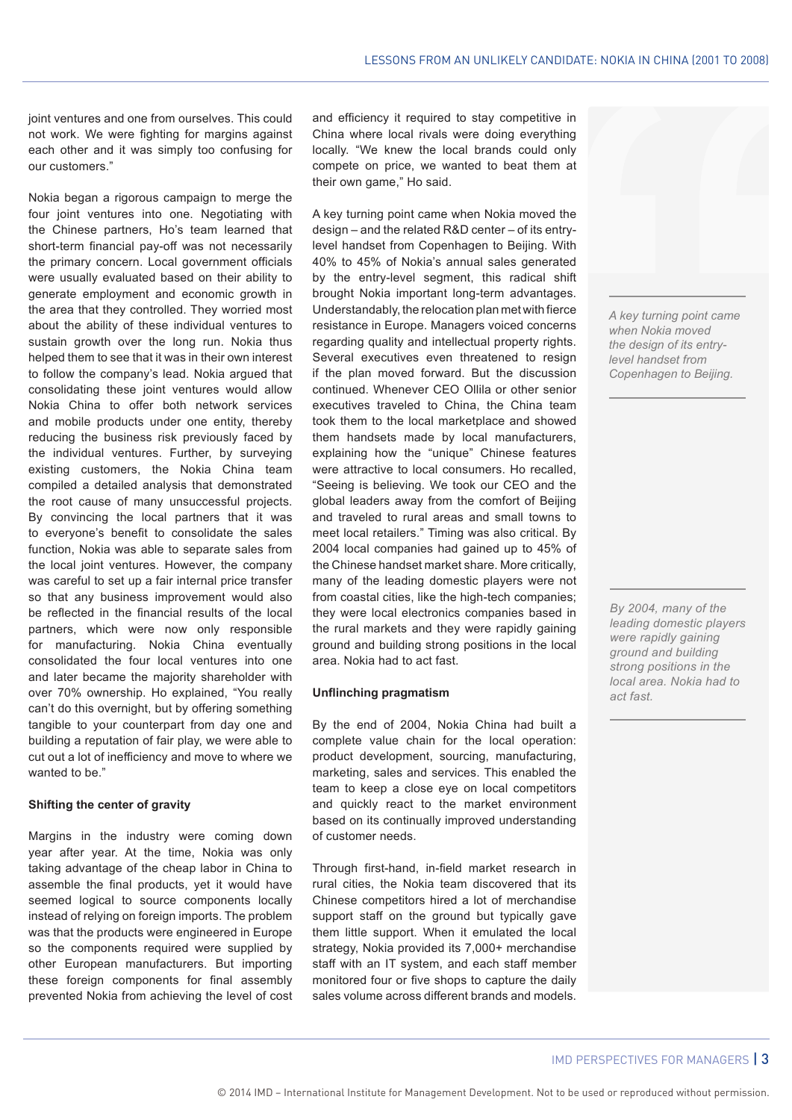joint ventures and one from ourselves. This could not work. We were fighting for margins against each other and it was simply too confusing for our customers."

Nokia began a rigorous campaign to merge the four joint ventures into one. Negotiating with the Chinese partners, Ho's team learned that short-term financial pay-off was not necessarily the primary concern. Local government officials were usually evaluated based on their ability to generate employment and economic growth in the area that they controlled. They worried most about the ability of these individual ventures to sustain growth over the long run. Nokia thus helped them to see that it was in their own interest to follow the company's lead. Nokia argued that consolidating these joint ventures would allow Nokia China to offer both network services and mobile products under one entity, thereby reducing the business risk previously faced by the individual ventures. Further, by surveying existing customers, the Nokia China team compiled a detailed analysis that demonstrated the root cause of many unsuccessful projects. By convincing the local partners that it was to everyone's benefit to consolidate the sales function, Nokia was able to separate sales from the local joint ventures. However, the company was careful to set up a fair internal price transfer so that any business improvement would also be reflected in the financial results of the local partners, which were now only responsible for manufacturing. Nokia China eventually consolidated the four local ventures into one and later became the majority shareholder with over 70% ownership. Ho explained, "You really can't do this overnight, but by offering something tangible to your counterpart from day one and building a reputation of fair play, we were able to cut out a lot of inefficiency and move to where we wanted to be."

#### **Shifting the center of gravity**

Margins in the industry were coming down year after year. At the time, Nokia was only taking advantage of the cheap labor in China to assemble the final products, yet it would have seemed logical to source components locally instead of relying on foreign imports. The problem was that the products were engineered in Europe so the components required were supplied by other European manufacturers. But importing these foreign components for final assembly prevented Nokia from achieving the level of cost

and efficiency it required to stay competitive in China where local rivals were doing everything locally. "We knew the local brands could only compete on price, we wanted to beat them at their own game," Ho said.

A key turning point came when Nokia moved the design – and the related R&D center – of its entrylevel handset from Copenhagen to Beijing. With 40% to 45% of Nokia's annual sales generated by the entry-level segment, this radical shift brought Nokia important long-term advantages. Understandably, the relocation plan met with fierce resistance in Europe. Managers voiced concerns regarding quality and intellectual property rights. Several executives even threatened to resign if the plan moved forward. But the discussion continued. Whenever CEO Ollila or other senior executives traveled to China, the China team took them to the local marketplace and showed them handsets made by local manufacturers, explaining how the "unique" Chinese features were attractive to local consumers. Ho recalled, "Seeing is believing. We took our CEO and the global leaders away from the comfort of Beijing and traveled to rural areas and small towns to meet local retailers." Timing was also critical. By 2004 local companies had gained up to 45% of the Chinese handset market share. More critically, many of the leading domestic players were not from coastal cities, like the high-tech companies; they were local electronics companies based in the rural markets and they were rapidly gaining ground and building strong positions in the local area. Nokia had to act fast.

#### **Unflinching pragmatism**

By the end of 2004, Nokia China had built a complete value chain for the local operation: product development, sourcing, manufacturing, marketing, sales and services. This enabled the team to keep a close eye on local competitors and quickly react to the market environment based on its continually improved understanding of customer needs.

Through first-hand, in-field market research in rural cities, the Nokia team discovered that its Chinese competitors hired a lot of merchandise support staff on the ground but typically gave them little support. When it emulated the local strategy, Nokia provided its 7,000+ merchandise staff with an IT system, and each staff member monitored four or five shops to capture the daily sales volume across different brands and models.

*A key turning point came when Nokia moved the design of its entrylevel handset from Copenhagen to Beijing.* 

*By 2004, many of the leading domestic players were rapidly gaining ground and building strong positions in the local area. Nokia had to act fast.*